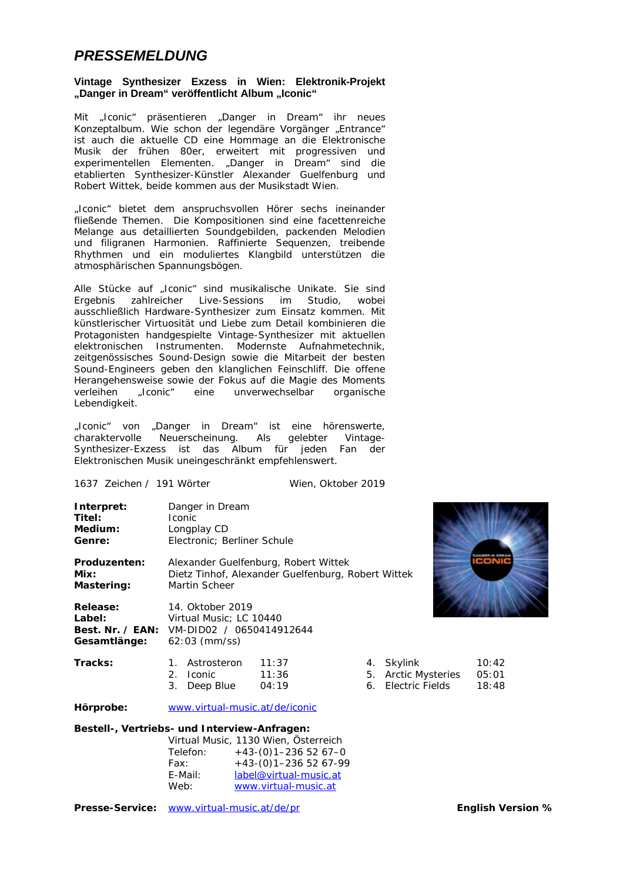## *PRESSEMELDUNG*

### **Vintage Synthesizer Exzess in Wien: Elektronik-Projekt**  "Danger in Dream" veröffentlicht Album "Iconic"

Mit "Iconic" präsentieren "Danger in Dream" ihr neues Konzeptalbum. Wie schon der legendäre Vorgänger "Entrance" ist auch die aktuelle CD eine Hommage an die Elektronische Musik der frühen 80er, erweitert mit progressiven und experimentellen Elementen. "Danger in Dream" sind die etablierten Synthesizer-Künstler Alexander Guelfenburg und Robert Wittek, beide kommen aus der Musikstadt Wien.

"Iconic" bietet dem anspruchsvollen Hörer sechs ineinander fließende Themen. Die Kompositionen sind eine facettenreiche Melange aus detaillierten Soundgebilden, packenden Melodien und filigranen Harmonien. Raffinierte Sequenzen, treibende Rhythmen und ein moduliertes Klangbild unterstützen die atmosphärischen Spannungsbögen.

Alle Stücke auf "Iconic" sind musikalische Unikate. Sie sind Ergebnis zahlreicher Live-Sessions im Studio, wobei ausschließlich Hardware-Synthesizer zum Einsatz kommen. Mit künstlerischer Virtuosität und Liebe zum Detail kombinieren die Protagonisten handgespielte Vintage-Synthesizer mit aktuellen elektronischen Instrumenten. Modernste Aufnahmetechnik, zeitgenössisches Sound-Design sowie die Mitarbeit der besten Sound-Engineers geben den klanglichen Feinschliff. Die offene Herangehensweise sowie der Fokus auf die Magie des Moments verleihen "Iconic" eine unverwechselbar organische Lebendigkeit.

"Iconic" von "Danger in Dream" ist eine hörenswerte, charaktervolle Neuerscheinung. Als gelebter Vintage-Synthesizer-Exzess ist das Album für jeden Fan der Elektronischen Musik uneingeschränkt empfehlenswert.

| 1637 Zeichen / 191 Wörter                 |                                                                                                                    | Wien, Oktober 2019      |    |                                                             |                         |
|-------------------------------------------|--------------------------------------------------------------------------------------------------------------------|-------------------------|----|-------------------------------------------------------------|-------------------------|
| Interpret:<br>Titel:<br>Medium:<br>Genre: | Danger in Dream<br><b>Iconic</b><br>Longplay CD<br>Electronic; Berliner Schule                                     |                         |    |                                                             |                         |
| Produzenten:<br>Mix:<br>Mastering:        | con<br>Alexander Guelfenburg, Robert Wittek<br>Dietz Tinhof, Alexander Guelfenburg, Robert Wittek<br>Martin Scheer |                         |    |                                                             |                         |
| Release:<br>Label:<br>Gesamtlänge:        | 14. Oktober 2019<br>Virtual Music; LC 10440<br><b>Best. Nr. / EAN:</b> VM-DID02 / 0650414912644<br>$62:03$ (mm/ss) |                         |    |                                                             |                         |
| Tracks:                                   | Astrosteron<br>$1_{-}$<br><b>Iconic</b><br>2 <sup>1</sup><br>3. Deep Blue                                          | 11:37<br>11:36<br>04:19 | 5. | 4. Skylink<br><b>Arctic Mysteries</b><br>6. Electric Fields | 10:42<br>05:01<br>18:48 |
| Hörprobe:                                 | www.virtual-music.at/de/iconic                                                                                     |                         |    |                                                             |                         |
|                                           | Doctall <i>Montriche</i> , und Interviews Anfrogen.                                                                |                         |    |                                                             |                         |

### **Bestell-, Vertriebs- und Interview-Anfragen:**

| Virtual Music, 1130 Wien, Österreich |
|--------------------------------------|
| $+43-(0)1-2365267-0$                 |
| $+43-(0)1-2365267-99$                |
| label@virtual-music.at               |
| www.virtual-music.at                 |
|                                      |